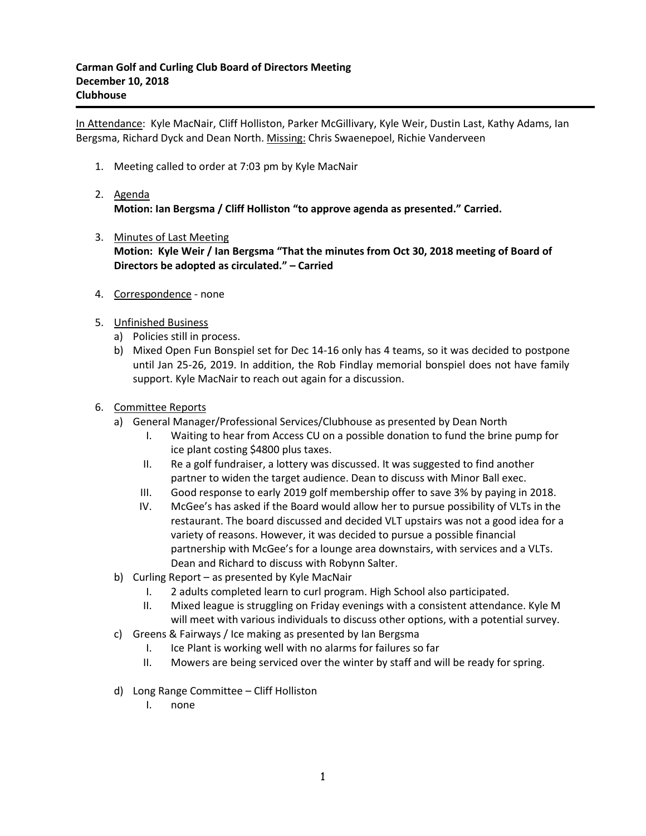In Attendance: Kyle MacNair, Cliff Holliston, Parker McGillivary, Kyle Weir, Dustin Last, Kathy Adams, Ian Bergsma, Richard Dyck and Dean North. Missing: Chris Swaenepoel, Richie Vanderveen

1. Meeting called to order at 7:03 pm by Kyle MacNair

## 2. Agenda **Motion: Ian Bergsma / Cliff Holliston "to approve agenda as presented." Carried.**

- 3. Minutes of Last Meeting **Motion: Kyle Weir / Ian Bergsma "That the minutes from Oct 30, 2018 meeting of Board of Directors be adopted as circulated." – Carried**
- 4. Correspondence none
- 5. Unfinished Business
	- a) Policies still in process.
	- b) Mixed Open Fun Bonspiel set for Dec 14-16 only has 4 teams, so it was decided to postpone until Jan 25-26, 2019. In addition, the Rob Findlay memorial bonspiel does not have family support. Kyle MacNair to reach out again for a discussion.
- 6. Committee Reports
	- a) General Manager/Professional Services/Clubhouse as presented by Dean North
		- I. Waiting to hear from Access CU on a possible donation to fund the brine pump for ice plant costing \$4800 plus taxes.
		- II. Re a golf fundraiser, a lottery was discussed. It was suggested to find another partner to widen the target audience. Dean to discuss with Minor Ball exec.
		- III. Good response to early 2019 golf membership offer to save 3% by paying in 2018.
		- IV. McGee's has asked if the Board would allow her to pursue possibility of VLTs in the restaurant. The board discussed and decided VLT upstairs was not a good idea for a variety of reasons. However, it was decided to pursue a possible financial partnership with McGee's for a lounge area downstairs, with services and a VLTs. Dean and Richard to discuss with Robynn Salter.
	- b) Curling Report as presented by Kyle MacNair
		- I. 2 adults completed learn to curl program. High School also participated.
		- II. Mixed league is struggling on Friday evenings with a consistent attendance. Kyle M will meet with various individuals to discuss other options, with a potential survey.
	- c) Greens & Fairways / Ice making as presented by Ian Bergsma
		- I. Ice Plant is working well with no alarms for failures so far
		- II. Mowers are being serviced over the winter by staff and will be ready for spring.
	- d) Long Range Committee Cliff Holliston
		- I. none